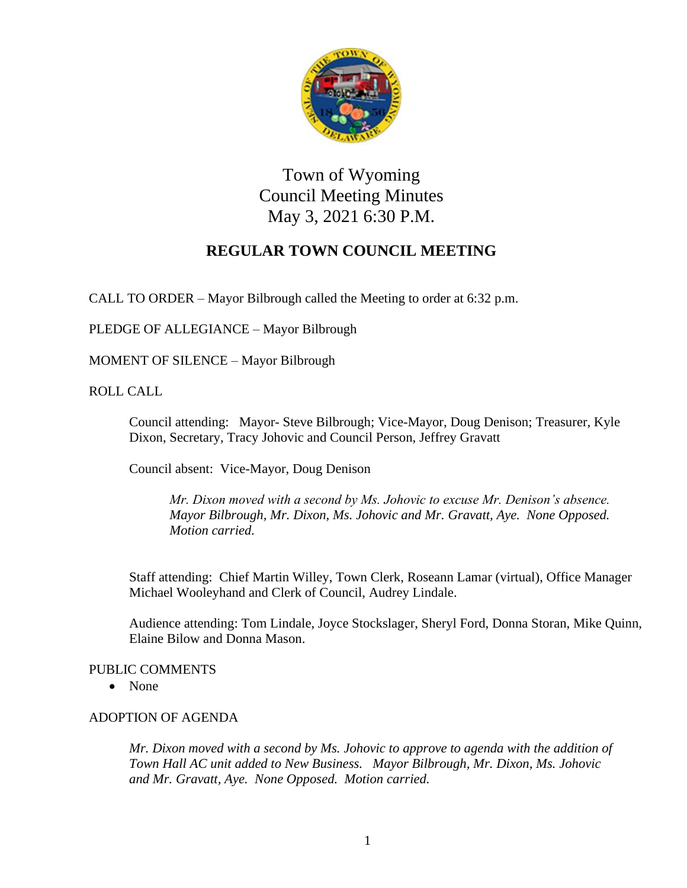

Town of Wyoming Council Meeting Minutes May 3, 2021 6:30 P.M.

# **REGULAR TOWN COUNCIL MEETING**

CALL TO ORDER – Mayor Bilbrough called the Meeting to order at 6:32 p.m.

PLEDGE OF ALLEGIANCE – Mayor Bilbrough

MOMENT OF SILENCE – Mayor Bilbrough

ROLL CALL

Council attending: Mayor- Steve Bilbrough; Vice-Mayor, Doug Denison; Treasurer, Kyle Dixon, Secretary, Tracy Johovic and Council Person, Jeffrey Gravatt

Council absent: Vice-Mayor, Doug Denison

*Mr. Dixon moved with a second by Ms. Johovic to excuse Mr. Denison's absence. Mayor Bilbrough, Mr. Dixon, Ms. Johovic and Mr. Gravatt, Aye. None Opposed. Motion carried.*

Staff attending: Chief Martin Willey, Town Clerk, Roseann Lamar (virtual), Office Manager Michael Wooleyhand and Clerk of Council, Audrey Lindale.

Audience attending: Tom Lindale, Joyce Stockslager, Sheryl Ford, Donna Storan, Mike Quinn, Elaine Bilow and Donna Mason.

#### PUBLIC COMMENTS

• None

### ADOPTION OF AGENDA

*Mr. Dixon moved with a second by Ms. Johovic to approve to agenda with the addition of Town Hall AC unit added to New Business. Mayor Bilbrough, Mr. Dixon, Ms. Johovic and Mr. Gravatt, Aye. None Opposed. Motion carried.*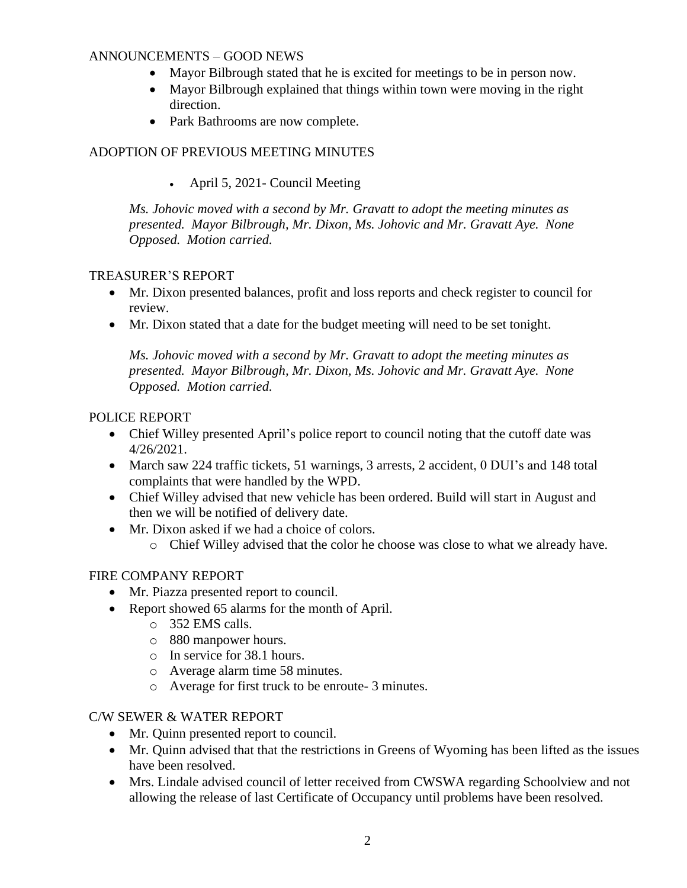### ANNOUNCEMENTS – GOOD NEWS

- Mayor Bilbrough stated that he is excited for meetings to be in person now.
- Mayor Bilbrough explained that things within town were moving in the right direction.
- Park Bathrooms are now complete.

# ADOPTION OF PREVIOUS MEETING MINUTES

• April 5, 2021- Council Meeting

*Ms. Johovic moved with a second by Mr. Gravatt to adopt the meeting minutes as presented. Mayor Bilbrough, Mr. Dixon, Ms. Johovic and Mr. Gravatt Aye. None Opposed. Motion carried.*

### TREASURER'S REPORT

- Mr. Dixon presented balances, profit and loss reports and check register to council for review.
- Mr. Dixon stated that a date for the budget meeting will need to be set tonight.

*Ms. Johovic moved with a second by Mr. Gravatt to adopt the meeting minutes as presented. Mayor Bilbrough, Mr. Dixon, Ms. Johovic and Mr. Gravatt Aye. None Opposed. Motion carried.*

### POLICE REPORT

- Chief Willey presented April's police report to council noting that the cutoff date was 4/26/2021.
- March saw 224 traffic tickets, 51 warnings, 3 arrests, 2 accident, 0 DUI's and 148 total complaints that were handled by the WPD.
- Chief Willey advised that new vehicle has been ordered. Build will start in August and then we will be notified of delivery date.
- Mr. Dixon asked if we had a choice of colors.
	- o Chief Willey advised that the color he choose was close to what we already have.

### FIRE COMPANY REPORT

- Mr. Piazza presented report to council.
- Report showed 65 alarms for the month of April.
	- o 352 EMS calls.
	- o 880 manpower hours.
	- o In service for 38.1 hours.
	- o Average alarm time 58 minutes.
	- o Average for first truck to be enroute- 3 minutes.

#### C/W SEWER & WATER REPORT

- Mr. Quinn presented report to council.
- Mr. Quinn advised that that the restrictions in Greens of Wyoming has been lifted as the issues have been resolved.
- Mrs. Lindale advised council of letter received from CWSWA regarding Schoolview and not allowing the release of last Certificate of Occupancy until problems have been resolved.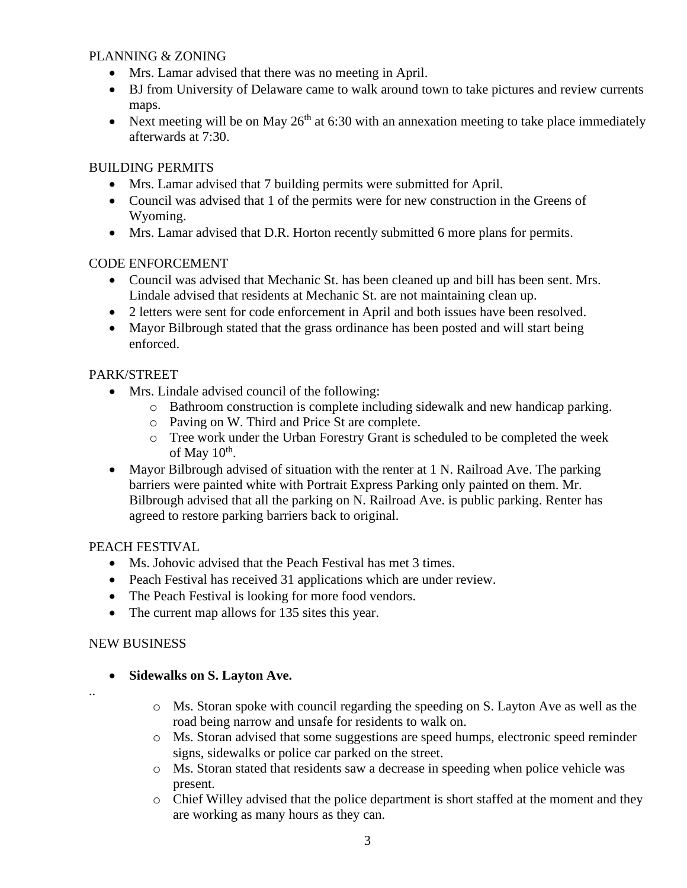### PLANNING & ZONING

- Mrs. Lamar advised that there was no meeting in April.
- BJ from University of Delaware came to walk around town to take pictures and review currents maps.
- Next meeting will be on May  $26<sup>th</sup>$  at 6:30 with an annexation meeting to take place immediately afterwards at 7:30.

### BUILDING PERMITS

- Mrs. Lamar advised that 7 building permits were submitted for April.
- Council was advised that 1 of the permits were for new construction in the Greens of Wyoming.
- Mrs. Lamar advised that D.R. Horton recently submitted 6 more plans for permits.

### CODE ENFORCEMENT

- Council was advised that Mechanic St. has been cleaned up and bill has been sent. Mrs. Lindale advised that residents at Mechanic St. are not maintaining clean up.
- 2 letters were sent for code enforcement in April and both issues have been resolved.
- Mayor Bilbrough stated that the grass ordinance has been posted and will start being enforced.

# PARK/STREET

- Mrs. Lindale advised council of the following:
	- o Bathroom construction is complete including sidewalk and new handicap parking.
	- o Paving on W. Third and Price St are complete.
	- o Tree work under the Urban Forestry Grant is scheduled to be completed the week of May  $10^{\text{th}}$ .
- Mayor Bilbrough advised of situation with the renter at 1 N. Railroad Ave. The parking barriers were painted white with Portrait Express Parking only painted on them. Mr. Bilbrough advised that all the parking on N. Railroad Ave. is public parking. Renter has agreed to restore parking barriers back to original.

### PEACH FESTIVAL

- Ms. Johovic advised that the Peach Festival has met 3 times.
- Peach Festival has received 31 applications which are under review.
- The Peach Festival is looking for more food vendors.
- The current map allows for 135 sites this year.

### NEW BUSINESS

# • **Sidewalks on S. Layton Ave.**

- ..
- $\circ$  Ms. Storan spoke with council regarding the speeding on S. Layton Ave as well as the road being narrow and unsafe for residents to walk on.
- o Ms. Storan advised that some suggestions are speed humps, electronic speed reminder signs, sidewalks or police car parked on the street.
- o Ms. Storan stated that residents saw a decrease in speeding when police vehicle was present.
- o Chief Willey advised that the police department is short staffed at the moment and they are working as many hours as they can.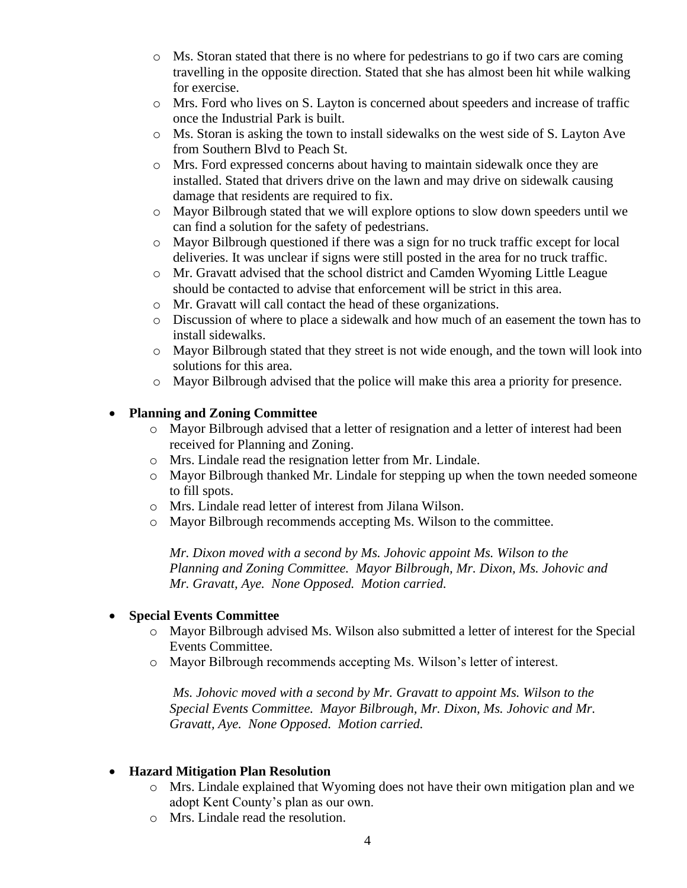- $\circ$  Ms. Storan stated that there is no where for pedestrians to go if two cars are coming travelling in the opposite direction. Stated that she has almost been hit while walking for exercise.
- o Mrs. Ford who lives on S. Layton is concerned about speeders and increase of traffic once the Industrial Park is built.
- o Ms. Storan is asking the town to install sidewalks on the west side of S. Layton Ave from Southern Blvd to Peach St.
- o Mrs. Ford expressed concerns about having to maintain sidewalk once they are installed. Stated that drivers drive on the lawn and may drive on sidewalk causing damage that residents are required to fix.
- o Mayor Bilbrough stated that we will explore options to slow down speeders until we can find a solution for the safety of pedestrians.
- o Mayor Bilbrough questioned if there was a sign for no truck traffic except for local deliveries. It was unclear if signs were still posted in the area for no truck traffic.
- o Mr. Gravatt advised that the school district and Camden Wyoming Little League should be contacted to advise that enforcement will be strict in this area.
- o Mr. Gravatt will call contact the head of these organizations.
- o Discussion of where to place a sidewalk and how much of an easement the town has to install sidewalks.
- o Mayor Bilbrough stated that they street is not wide enough, and the town will look into solutions for this area.
- o Mayor Bilbrough advised that the police will make this area a priority for presence.

# • **Planning and Zoning Committee**

- o Mayor Bilbrough advised that a letter of resignation and a letter of interest had been received for Planning and Zoning.
- o Mrs. Lindale read the resignation letter from Mr. Lindale.
- o Mayor Bilbrough thanked Mr. Lindale for stepping up when the town needed someone to fill spots.
- o Mrs. Lindale read letter of interest from Jilana Wilson.
- o Mayor Bilbrough recommends accepting Ms. Wilson to the committee.

*Mr. Dixon moved with a second by Ms. Johovic appoint Ms. Wilson to the Planning and Zoning Committee. Mayor Bilbrough, Mr. Dixon, Ms. Johovic and Mr. Gravatt, Aye. None Opposed. Motion carried.*

### • **Special Events Committee**

- o Mayor Bilbrough advised Ms. Wilson also submitted a letter of interest for the Special Events Committee.
- o Mayor Bilbrough recommends accepting Ms. Wilson's letter of interest.

*Ms. Johovic moved with a second by Mr. Gravatt to appoint Ms. Wilson to the Special Events Committee. Mayor Bilbrough, Mr. Dixon, Ms. Johovic and Mr. Gravatt, Aye. None Opposed. Motion carried.*

# • **Hazard Mitigation Plan Resolution**

- o Mrs. Lindale explained that Wyoming does not have their own mitigation plan and we adopt Kent County's plan as our own.
- o Mrs. Lindale read the resolution.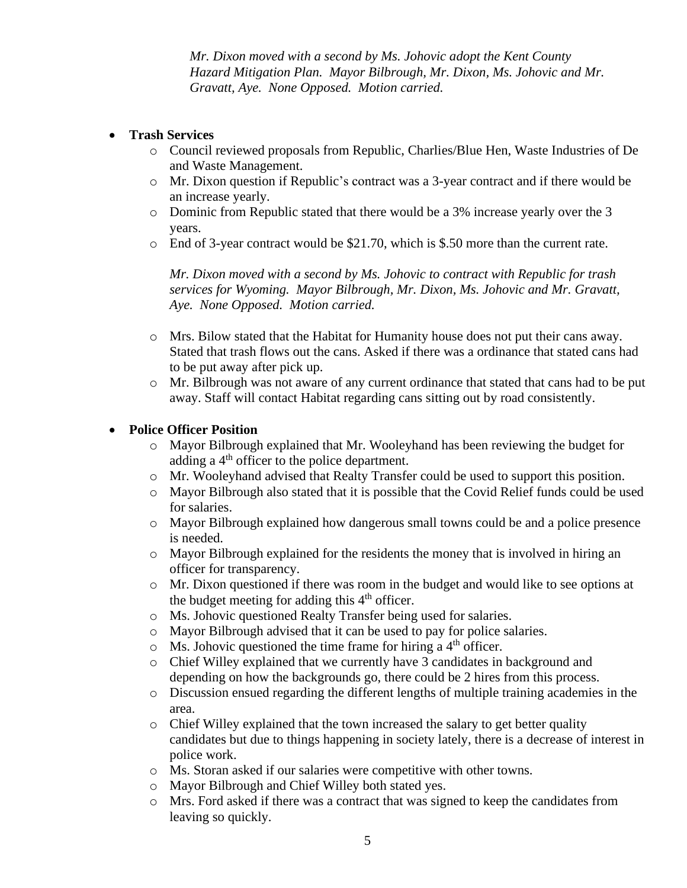*Mr. Dixon moved with a second by Ms. Johovic adopt the Kent County Hazard Mitigation Plan. Mayor Bilbrough, Mr. Dixon, Ms. Johovic and Mr. Gravatt, Aye. None Opposed. Motion carried.*

### • **Trash Services**

- o Council reviewed proposals from Republic, Charlies/Blue Hen, Waste Industries of De and Waste Management.
- o Mr. Dixon question if Republic's contract was a 3-year contract and if there would be an increase yearly.
- o Dominic from Republic stated that there would be a 3% increase yearly over the 3 years.
- $\circ$  End of 3-year contract would be \$21.70, which is \$.50 more than the current rate.

*Mr. Dixon moved with a second by Ms. Johovic to contract with Republic for trash services for Wyoming. Mayor Bilbrough, Mr. Dixon, Ms. Johovic and Mr. Gravatt, Aye. None Opposed. Motion carried.*

- o Mrs. Bilow stated that the Habitat for Humanity house does not put their cans away. Stated that trash flows out the cans. Asked if there was a ordinance that stated cans had to be put away after pick up.
- o Mr. Bilbrough was not aware of any current ordinance that stated that cans had to be put away. Staff will contact Habitat regarding cans sitting out by road consistently.

### • **Police Officer Position**

- o Mayor Bilbrough explained that Mr. Wooleyhand has been reviewing the budget for adding a  $4<sup>th</sup>$  officer to the police department.
- o Mr. Wooleyhand advised that Realty Transfer could be used to support this position.
- o Mayor Bilbrough also stated that it is possible that the Covid Relief funds could be used for salaries.
- o Mayor Bilbrough explained how dangerous small towns could be and a police presence is needed.
- o Mayor Bilbrough explained for the residents the money that is involved in hiring an officer for transparency.
- o Mr. Dixon questioned if there was room in the budget and would like to see options at the budget meeting for adding this  $4<sup>th</sup>$  officer.
- o Ms. Johovic questioned Realty Transfer being used for salaries.
- o Mayor Bilbrough advised that it can be used to pay for police salaries.
- $\circ$  Ms. Johovic questioned the time frame for hiring a 4<sup>th</sup> officer.
- o Chief Willey explained that we currently have 3 candidates in background and depending on how the backgrounds go, there could be 2 hires from this process.
- o Discussion ensued regarding the different lengths of multiple training academies in the area.
- o Chief Willey explained that the town increased the salary to get better quality candidates but due to things happening in society lately, there is a decrease of interest in police work.
- o Ms. Storan asked if our salaries were competitive with other towns.
- o Mayor Bilbrough and Chief Willey both stated yes.
- o Mrs. Ford asked if there was a contract that was signed to keep the candidates from leaving so quickly.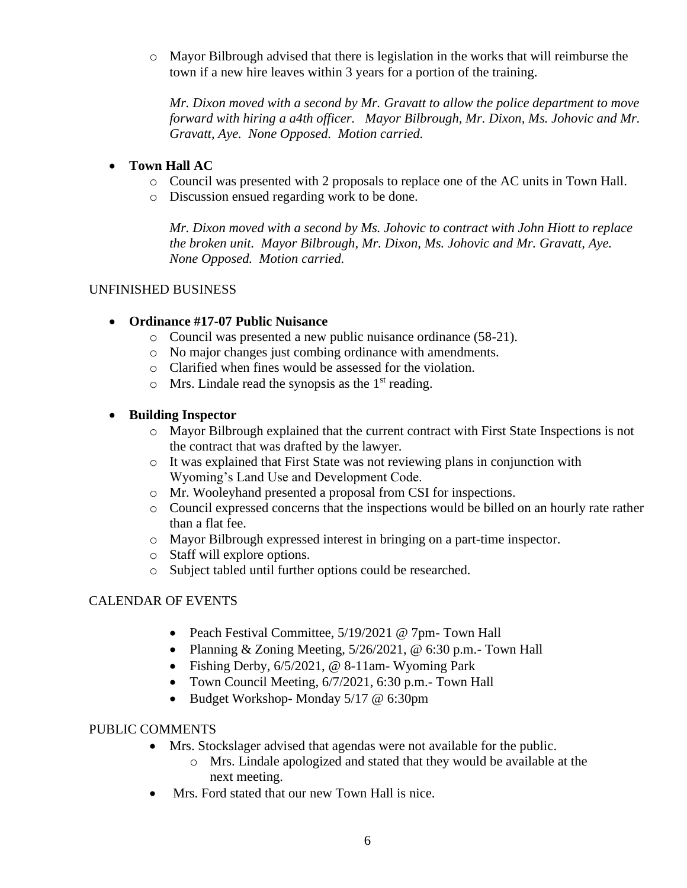$\circ$  Mayor Bilbrough advised that there is legislation in the works that will reimburse the town if a new hire leaves within 3 years for a portion of the training.

*Mr. Dixon moved with a second by Mr. Gravatt to allow the police department to move forward with hiring a a4th officer. Mayor Bilbrough, Mr. Dixon, Ms. Johovic and Mr. Gravatt, Aye. None Opposed. Motion carried.*

# • **Town Hall AC**

- o Council was presented with 2 proposals to replace one of the AC units in Town Hall.
- o Discussion ensued regarding work to be done.

*Mr. Dixon moved with a second by Ms. Johovic to contract with John Hiott to replace the broken unit. Mayor Bilbrough, Mr. Dixon, Ms. Johovic and Mr. Gravatt, Aye. None Opposed. Motion carried.*

### UNFINISHED BUSINESS

### • **Ordinance #17-07 Public Nuisance**

- o Council was presented a new public nuisance ordinance (58-21).
- o No major changes just combing ordinance with amendments.
- o Clarified when fines would be assessed for the violation.
- $\circ$  Mrs. Lindale read the synopsis as the 1<sup>st</sup> reading.

### • **Building Inspector**

- o Mayor Bilbrough explained that the current contract with First State Inspections is not the contract that was drafted by the lawyer.
- o It was explained that First State was not reviewing plans in conjunction with Wyoming's Land Use and Development Code.
- o Mr. Wooleyhand presented a proposal from CSI for inspections.
- o Council expressed concerns that the inspections would be billed on an hourly rate rather than a flat fee.
- o Mayor Bilbrough expressed interest in bringing on a part-time inspector.
- o Staff will explore options.
- o Subject tabled until further options could be researched.

### CALENDAR OF EVENTS

- Peach Festival Committee, 5/19/2021 @ 7pm- Town Hall
- Planning & Zoning Meeting,  $5/26/2021$ , @ 6:30 p.m. Town Hall
- Fishing Derby, 6/5/2021, @ 8-11am- Wyoming Park
- Town Council Meeting, 6/7/2021, 6:30 p.m. Town Hall
- Budget Workshop-Monday 5/17 @ 6:30pm

#### PUBLIC COMMENTS

- Mrs. Stockslager advised that agendas were not available for the public.
	- o Mrs. Lindale apologized and stated that they would be available at the next meeting.
- Mrs. Ford stated that our new Town Hall is nice.